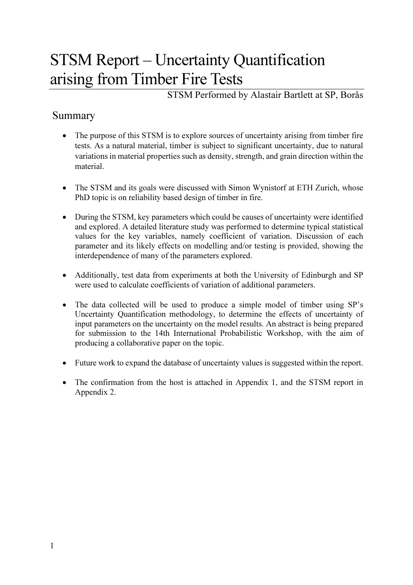# STSM Report – Uncertainty Quantification arising from Timber Fire Tests

STSM Performed by Alastair Bartlett at SP, Borås

## Summary

- The purpose of this STSM is to explore sources of uncertainty arising from timber fire tests. As a natural material, timber is subject to significant uncertainty, due to natural variations in material properties such as density, strength, and grain direction within the material.
- The STSM and its goals were discussed with Simon Wynistorf at ETH Zurich, whose PhD topic is on reliability based design of timber in fire.
- During the STSM, key parameters which could be causes of uncertainty were identified and explored. A detailed literature study was performed to determine typical statistical values for the key variables, namely coefficient of variation. Discussion of each parameter and its likely effects on modelling and/or testing is provided, showing the interdependence of many of the parameters explored.
- Additionally, test data from experiments at both the University of Edinburgh and SP were used to calculate coefficients of variation of additional parameters.
- The data collected will be used to produce a simple model of timber using SP's Uncertainty Quantification methodology, to determine the effects of uncertainty of input parameters on the uncertainty on the model results. An abstract is being prepared for submission to the 14th International Probabilistic Workshop, with the aim of producing a collaborative paper on the topic.
- Future work to expand the database of uncertainty values is suggested within the report.
- The confirmation from the host is attached in Appendix 1, and the STSM report in Appendix 2.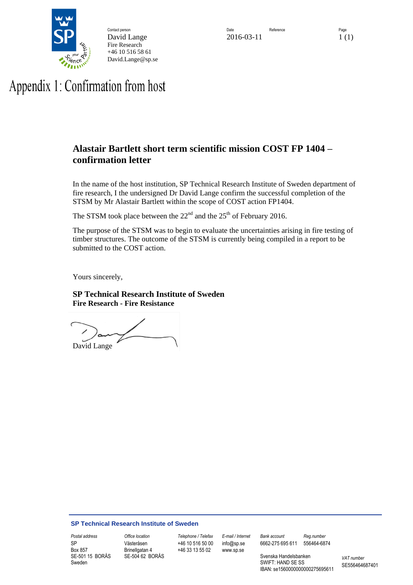

Fire Research +46 10 516 58 61 David.Lange@sp.se

# Appendix 1: Confirmation from host

### **Alastair Bartlett short term scientific mission COST FP 1404 – confirmation letter**

In the name of the host institution, SP Technical Research Institute of Sweden department of fire research, I the undersigned Dr David Lange confirm the successful completion of the STSM by Mr Alastair Bartlett within the scope of COST action FP1404.

The STSM took place between the  $22<sup>nd</sup>$  and the  $25<sup>th</sup>$  of February 2016.

The purpose of the STSM was to begin to evaluate the uncertainties arising in fire testing of timber structures. The outcome of the STSM is currently being compiled in a report to be submitted to the COST action.

Yours sincerely,

**SP Technical Research Institute of Sweden Fire Research - Fire Resistance**

 $\sim$   $\sim$   $\sim$ David Lange

#### **SP Technical Research Institute of Sweden**

SP Box 857 SE-501 15 BORÅS Sweden

Västeråsen Brinellgatan 4 SE-504 62 BORÅS

*Postal address Office location Telephone / Telefax E-mail / Internet Bank account Reg.number*  +46 10 516 50 00 +46 33 13 55 02

info@sp.se www.sp.se

6662-275 695 611 556464-6874

Svenska Handelsbanken SWIFT: HAND SE SS IBAN: se1560000000000275695611 *VAT number* SE556464687401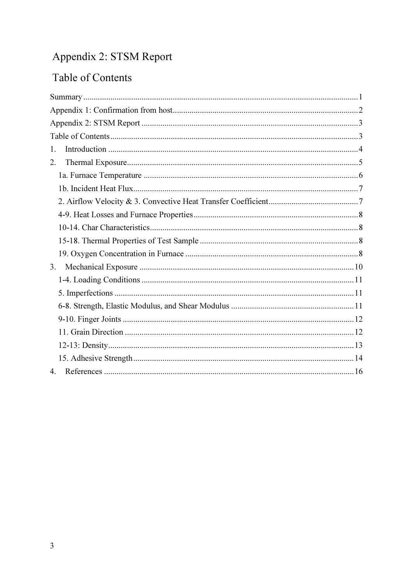## Appendix 2: STSM Report

## Table of Contents

| 1.          |
|-------------|
| 2.          |
|             |
|             |
|             |
|             |
|             |
|             |
|             |
| 3.          |
|             |
|             |
|             |
|             |
|             |
|             |
|             |
| $4_{\cdot}$ |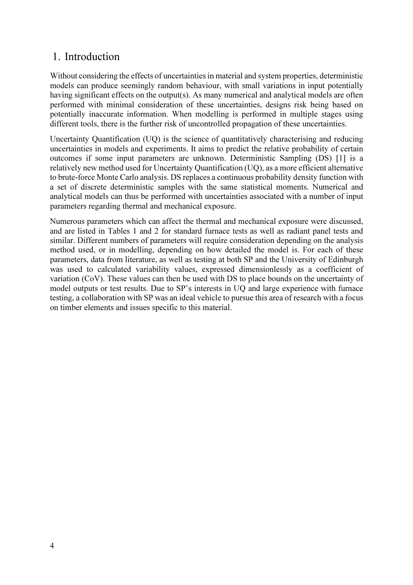### 1. Introduction

Without considering the effects of uncertainties in material and system properties, deterministic models can produce seemingly random behaviour, with small variations in input potentially having significant effects on the output(s). As many numerical and analytical models are often performed with minimal consideration of these uncertainties, designs risk being based on potentially inaccurate information. When modelling is performed in multiple stages using different tools, there is the further risk of uncontrolled propagation of these uncertainties.

Uncertainty Quantification (UQ) is the science of quantitatively characterising and reducing uncertainties in models and experiments. It aims to predict the relative probability of certain outcomes if some input parameters are unknown. Deterministic Sampling (DS) [1] is a relatively new method used for Uncertainty Quantification (UQ), as a more efficient alternative to brute-force Monte Carlo analysis. DS replaces a continuous probability density function with a set of discrete deterministic samples with the same statistical moments. Numerical and analytical models can thus be performed with uncertainties associated with a number of input parameters regarding thermal and mechanical exposure.

Numerous parameters which can affect the thermal and mechanical exposure were discussed, and are listed in Tables 1 and 2 for standard furnace tests as well as radiant panel tests and similar. Different numbers of parameters will require consideration depending on the analysis method used, or in modelling, depending on how detailed the model is. For each of these parameters, data from literature, as well as testing at both SP and the University of Edinburgh was used to calculated variability values, expressed dimensionlessly as a coefficient of variation (CoV). These values can then be used with DS to place bounds on the uncertainty of model outputs or test results. Due to SP's interests in UQ and large experience with furnace testing, a collaboration with SP was an ideal vehicle to pursue this area of research with a focus on timber elements and issues specific to this material.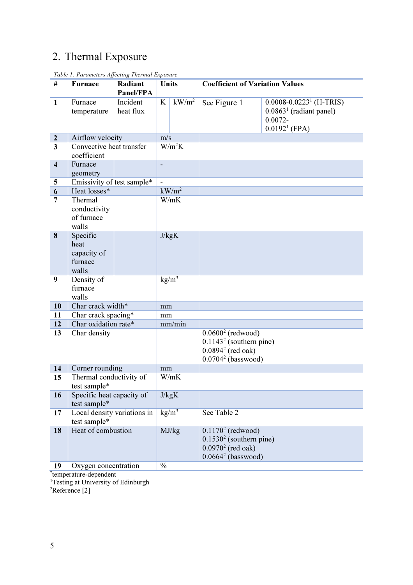## 2. Thermal Exposure

| #                       | <b>Furnace</b>                                      | Radiant<br>Panel/FPA  | Units               |                   | <b>Coefficient of Variation Values</b>                                                           |                                                                                                       |  |  |
|-------------------------|-----------------------------------------------------|-----------------------|---------------------|-------------------|--------------------------------------------------------------------------------------------------|-------------------------------------------------------------------------------------------------------|--|--|
| $\mathbf{1}$            | Furnace<br>temperature                              | Incident<br>heat flux | K                   | $kW/m^2$          | See Figure 1                                                                                     | $0.0008 - 0.0223$ <sup>1</sup> (H-TRIS)<br>$0.08631$ (radiant panel)<br>$0.0072 -$<br>$0.01921$ (FPA) |  |  |
| $\boldsymbol{2}$        | Airflow velocity                                    |                       | m/s                 |                   |                                                                                                  |                                                                                                       |  |  |
| $\overline{\mathbf{3}}$ | Convective heat transfer<br>coefficient             |                       | $\overline{W/m^2K}$ |                   |                                                                                                  |                                                                                                       |  |  |
| $\overline{\mathbf{4}}$ | Furnace<br>geometry                                 |                       |                     |                   |                                                                                                  |                                                                                                       |  |  |
| 5                       | Emissivity of test sample*                          |                       | $\overline{a}$      |                   |                                                                                                  |                                                                                                       |  |  |
| 6                       | Heat losses*                                        |                       | kW/m <sup>2</sup>   |                   |                                                                                                  |                                                                                                       |  |  |
| 7                       | Thermal<br>conductivity<br>of furnace<br>walls      |                       | W/mK                |                   |                                                                                                  |                                                                                                       |  |  |
| 8                       | Specific<br>heat<br>capacity of<br>furnace<br>walls |                       | J/kgK               |                   |                                                                                                  |                                                                                                       |  |  |
| 9                       | Density of<br>furnace<br>walls                      |                       | kg/m <sup>3</sup>   |                   |                                                                                                  |                                                                                                       |  |  |
| 10                      | Char crack width*                                   |                       | mm                  |                   |                                                                                                  |                                                                                                       |  |  |
| 11                      | Char crack spacing*                                 |                       | mm                  |                   |                                                                                                  |                                                                                                       |  |  |
| 12                      | Char oxidation rate*                                |                       |                     | mm/min            |                                                                                                  |                                                                                                       |  |  |
| 13                      | Char density                                        |                       |                     |                   | $0.06002$ (redwood)<br>$0.11432$ (southern pine)<br>$0.0894^2$ (red oak)<br>$0.07042$ (basswood) |                                                                                                       |  |  |
| 14                      | Corner rounding                                     |                       | mm                  |                   |                                                                                                  |                                                                                                       |  |  |
| 15                      | Thermal conductivity of<br>test sample*             |                       |                     | W/mK              |                                                                                                  |                                                                                                       |  |  |
| 16                      | Specific heat capacity of<br>test sample*           |                       |                     | J/kgK             |                                                                                                  |                                                                                                       |  |  |
| 17                      | Local density variations in<br>test sample*         |                       |                     | kg/m <sup>3</sup> | See Table 2                                                                                      |                                                                                                       |  |  |
| 18                      | Heat of combustion                                  |                       |                     | MJ/kg             | $0.11702$ (redwood)<br>$0.15302$ (southern pine)<br>$0.0970^2$ (red oak)<br>$0.06642$ (basswood) |                                                                                                       |  |  |
| 19                      | Oxygen concentration                                |                       | $\frac{0}{0}$       |                   |                                                                                                  |                                                                                                       |  |  |
|                         | <i>temperature-dependent</i>                        |                       |                     |                   |                                                                                                  |                                                                                                       |  |  |

Table 1: Parameters Affecting Thermal Exposure

<sup>1</sup>Testing at University of Edinburgh

 ${}^{2}$ Reference [2]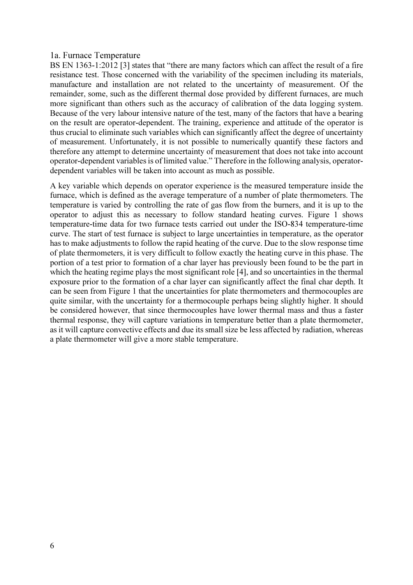#### 1a. Furnace Temperature

BS EN 1363-1:2012 [3] states that "there are many factors which can affect the result of a fire resistance test. Those concerned with the variability of the specimen including its materials, manufacture and installation are not related to the uncertainty of measurement. Of the remainder, some, such as the different thermal dose provided by different furnaces, are much more significant than others such as the accuracy of calibration of the data logging system. Because of the very labour intensive nature of the test, many of the factors that have a bearing on the result are operator-dependent. The training, experience and attitude of the operator is thus crucial to eliminate such variables which can significantly affect the degree of uncertainty of measurement. Unfortunately, it is not possible to numerically quantify these factors and therefore any attempt to determine uncertainty of measurement that does not take into account operator-dependent variables is of limited value." Therefore in the following analysis, operatordependent variables will be taken into account as much as possible.

A key variable which depends on operator experience is the measured temperature inside the furnace, which is defined as the average temperature of a number of plate thermometers. The temperature is varied by controlling the rate of gas flow from the burners, and it is up to the operator to adjust this as necessary to follow standard heating curves. Figure 1 shows temperature-time data for two furnace tests carried out under the ISO-834 temperature-time curve. The start of test furnace is subject to large uncertainties in temperature, as the operator has to make adjustments to follow the rapid heating of the curve. Due to the slow response time of plate thermometers, it is very difficult to follow exactly the heating curve in this phase. The portion of a test prior to formation of a char layer has previously been found to be the part in which the heating regime plays the most significant role [4], and so uncertainties in the thermal exposure prior to the formation of a char layer can significantly affect the final char depth. It can be seen from Figure 1 that the uncertainties for plate thermometers and thermocouples are quite similar, with the uncertainty for a thermocouple perhaps being slightly higher. It should be considered however, that since thermocouples have lower thermal mass and thus a faster thermal response, they will capture variations in temperature better than a plate thermometer, as it will capture convective effects and due its small size be less affected by radiation, whereas a plate thermometer will give a more stable temperature.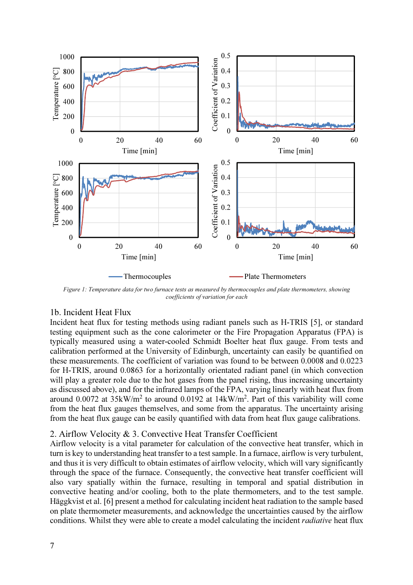

Figure 1: Temperature data for two furnace tests as measured by thermocouples and plate thermometers, showing coefficients of variation for each

#### 1b. Incident Heat Flux

Incident heat flux for testing methods using radiant panels such as H-TRIS [5], or standard testing equipment such as the cone calorimeter or the Fire Propagation Apparatus (FPA) is typically measured using a water-cooled Schmidt Boelter heat flux gauge. From tests and calibration performed at the University of Edinburgh, uncertainty can easily be quantified on these measurements. The coefficient of variation was found to be between 0.0008 and 0.0223 for H-TRIS, around 0.0863 for a horizontally orientated radiant panel (in which convection will play a greater role due to the hot gases from the panel rising, thus increasing uncertainty as discussed above), and for the infrared lamps of the FPA, varying linearly with heat flux from around 0.0072 at  $35 \text{kW/m}^2$  to around 0.0192 at 14kW/m<sup>2</sup>. Part of this variability will come from the heat flux gauges themselves, and some from the apparatus. The uncertainty arising from the heat flux gauge can be easily quantified with data from heat flux gauge calibrations.

#### 2. Airflow Velocity & 3. Convective Heat Transfer Coefficient

Airflow velocity is a vital parameter for calculation of the convective heat transfer, which in turn is key to understanding heat transfer to a test sample. In a furnace, airflow is very turbulent, and thus it is very difficult to obtain estimates of airflow velocity, which will vary significantly through the space of the furnace. Consequently, the convective heat transfer coefficient will also vary spatially within the furnace, resulting in temporal and spatial distribution in convective heating and/or cooling, both to the plate thermometers, and to the test sample. Häggkvist et al. [6] present a method for calculating incident heat radiation to the sample based on plate thermometer measurements, and acknowledge the uncertainties caused by the airflow conditions. Whilst they were able to create a model calculating the incident radiative heat flux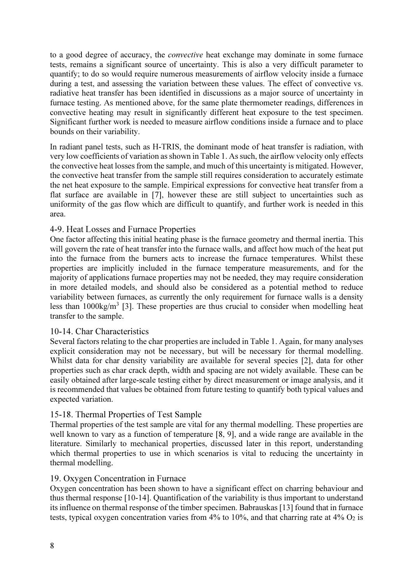to a good degree of accuracy, the convective heat exchange may dominate in some furnace tests, remains a significant source of uncertainty. This is also a very difficult parameter to quantify; to do so would require numerous measurements of airflow velocity inside a furnace during a test, and assessing the variation between these values. The effect of convective vs. radiative heat transfer has been identified in discussions as a major source of uncertainty in furnace testing. As mentioned above, for the same plate thermometer readings, differences in convective heating may result in significantly different heat exposure to the test specimen. Significant further work is needed to measure airflow conditions inside a furnace and to place bounds on their variability.

In radiant panel tests, such as H-TRIS, the dominant mode of heat transfer is radiation, with very low coefficients of variation as shown in Table 1. As such, the airflow velocity only effects the convective heat losses from the sample, and much of this uncertainty is mitigated. However, the convective heat transfer from the sample still requires consideration to accurately estimate the net heat exposure to the sample. Empirical expressions for convective heat transfer from a flat surface are available in [7], however these are still subject to uncertainties such as uniformity of the gas flow which are difficult to quantify, and further work is needed in this area.

#### 4-9. Heat Losses and Furnace Properties

One factor affecting this initial heating phase is the furnace geometry and thermal inertia. This will govern the rate of heat transfer into the furnace walls, and affect how much of the heat put into the furnace from the burners acts to increase the furnace temperatures. Whilst these properties are implicitly included in the furnace temperature measurements, and for the majority of applications furnace properties may not be needed, they may require consideration in more detailed models, and should also be considered as a potential method to reduce variability between furnaces, as currently the only requirement for furnace walls is a density less than 1000kg/m<sup>3</sup> [3]. These properties are thus crucial to consider when modelling heat transfer to the sample.

#### 10-14. Char Characteristics

Several factors relating to the char properties are included in Table 1. Again, for many analyses explicit consideration may not be necessary, but will be necessary for thermal modelling. Whilst data for char density variability are available for several species [2], data for other properties such as char crack depth, width and spacing are not widely available. These can be easily obtained after large-scale testing either by direct measurement or image analysis, and it is recommended that values be obtained from future testing to quantify both typical values and expected variation.

#### 15-18. Thermal Properties of Test Sample

Thermal properties of the test sample are vital for any thermal modelling. These properties are well known to vary as a function of temperature [8, 9], and a wide range are available in the literature. Similarly to mechanical properties, discussed later in this report, understanding which thermal properties to use in which scenarios is vital to reducing the uncertainty in thermal modelling.

#### 19. Oxygen Concentration in Furnace

Oxygen concentration has been shown to have a significant effect on charring behaviour and thus thermal response [10-14]. Quantification of the variability is thus important to understand its influence on thermal response of the timber specimen. Babrauskas [13] found that in furnace tests, typical oxygen concentration varies from  $4\%$  to  $10\%$ , and that charring rate at  $4\%$  O<sub>2</sub> is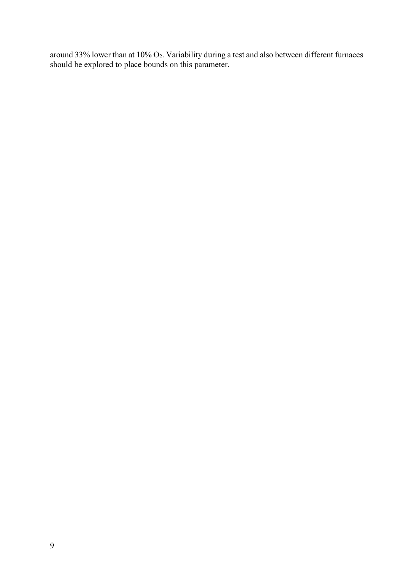around 33% lower than at  $10\%$  O<sub>2</sub>. Variability during a test and also between different furnaces should be explored to place bounds on this parameter.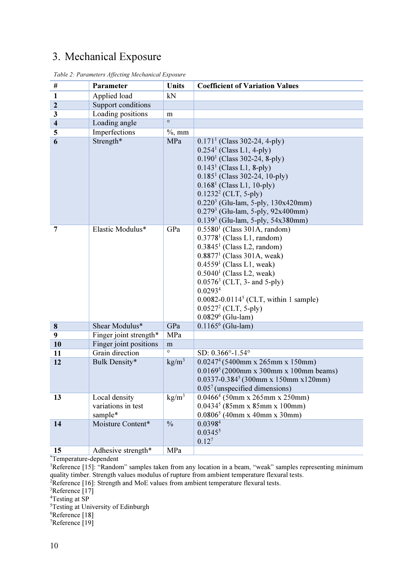## 3. Mechanical Exposure

| $\#$                    | <b>Parameter</b>                               | Units             | <b>Coefficient of Variation Values</b>                                                                                                                                                                                                                                                                                                                                                              |
|-------------------------|------------------------------------------------|-------------------|-----------------------------------------------------------------------------------------------------------------------------------------------------------------------------------------------------------------------------------------------------------------------------------------------------------------------------------------------------------------------------------------------------|
| $\mathbf{1}$            | Applied load                                   | kN                |                                                                                                                                                                                                                                                                                                                                                                                                     |
| $\mathbf{2}$            | Support conditions                             |                   |                                                                                                                                                                                                                                                                                                                                                                                                     |
| 3                       | Loading positions                              | m                 |                                                                                                                                                                                                                                                                                                                                                                                                     |
| $\overline{\mathbf{4}}$ | Loading angle                                  | $\circ$           |                                                                                                                                                                                                                                                                                                                                                                                                     |
| 5                       | Imperfections                                  | $%$ , mm          |                                                                                                                                                                                                                                                                                                                                                                                                     |
| 6                       | Strength*                                      | MPa               | $0.1711$ (Class 302-24, 4-ply)<br>$0.2541$ (Class L1, 4-ply)<br>$0.1901$ (Class 302-24, 8-ply)<br>$0.1431$ (Class L1, 8-ply)<br>$0.1851$ (Class 302-24, 10-ply)<br>$0.1681$ (Class L1, 10-ply)<br>$0.12322$ (CLT, 5-ply)<br>0.220 <sup>3</sup> (Glu-lam, 5-ply, 130x420mm)<br>0.279 <sup>3</sup> (Glu-lam, 5-ply, 92x400mm)                                                                         |
| 7                       | Elastic Modulus*                               | GPa               | $0.1393$ (Glu-lam, 5-ply, 54x380mm)<br>$0.55801$ (Class 301A, random)<br>$0.37781$ (Class L1, random)<br>$0.38451$ (Class L2, random)<br>$0.88771$ (Class 301A, weak)<br>$0.45591$ (Class L1, weak)<br>$0.5040$ <sup>1</sup> (Class L2, weak)<br>$0.05763$ (CLT, 3- and 5-ply)<br>0.0293 <sup>4</sup><br>$0.0082 - 0.01145$ (CLT, within 1 sample)<br>$0.05272$ (CLT, 5-ply)<br>$0.08296$ (Glu-lam) |
| $\bf{8}$                | Shear Modulus*                                 | GPa               | $0.1165^6$ (Glu-lam)                                                                                                                                                                                                                                                                                                                                                                                |
| 9                       | Finger joint strength*                         | MPa               |                                                                                                                                                                                                                                                                                                                                                                                                     |
| 10                      | Finger joint positions                         | m                 |                                                                                                                                                                                                                                                                                                                                                                                                     |
| 11                      | Grain direction                                | $\circ$           | SD: 0.366°-1.54°                                                                                                                                                                                                                                                                                                                                                                                    |
| 12                      | Bulk Density*                                  | $\text{kg/m}^3$   | $0.02474$ (5400mm x 265mm x 150mm)<br>$0.01695$ (2000mm x 300mm x 100mm beams)<br>$0.0337 - 0.3845$ (300mm x 150mm x 120mm)<br>$0.057$ (unspecified dimensions)                                                                                                                                                                                                                                     |
| 13                      | Local density<br>variations in test<br>sample* | kg/m <sup>3</sup> | $0.04664$ (50mm x 265mm x 250mm)<br>$0.04345$ (85mm x 85mm x 100mm)<br>$0.08065$ (40mm x 40mm x 30mm)                                                                                                                                                                                                                                                                                               |
| 14                      | Moisture Content*                              | $\frac{0}{0}$     | 0.0398 <sup>4</sup><br>$0.0345^{5}$<br>$0.12^{7}$                                                                                                                                                                                                                                                                                                                                                   |
| 15                      | Adhesive strength*                             | MPa               |                                                                                                                                                                                                                                                                                                                                                                                                     |

Table 2: Parameters Affecting Mechanical Exposure

\*Temperature-dependent

<sup>1</sup>Reference [15]: "Random" samples taken from any location in a beam, "weak" samples representing minimum quality timber. Strength values modulus of rupture from ambient temperature flexural tests.

 $2R$ eference [16]: Strength and MoE values from ambient temperature flexural tests.

 ${}^{3}$ Reference [17]

<sup>4</sup>Testing at SP

<sup>5</sup>Testing at University of Edinburgh

<sup>6</sup>Reference [18]

<sup>7</sup>Reference [19]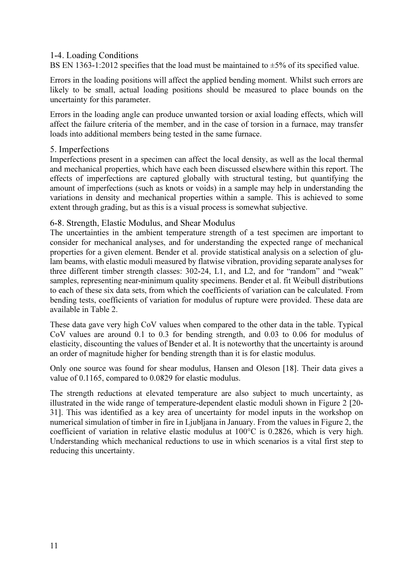#### 1-4. Loading Conditions

BS EN 1363-1:2012 specifies that the load must be maintained to  $\pm$ 5% of its specified value.

Errors in the loading positions will affect the applied bending moment. Whilst such errors are likely to be small, actual loading positions should be measured to place bounds on the uncertainty for this parameter.

Errors in the loading angle can produce unwanted torsion or axial loading effects, which will affect the failure criteria of the member, and in the case of torsion in a furnace, may transfer loads into additional members being tested in the same furnace.

#### 5. Imperfections

Imperfections present in a specimen can affect the local density, as well as the local thermal and mechanical properties, which have each been discussed elsewhere within this report. The effects of imperfections are captured globally with structural testing, but quantifying the amount of imperfections (such as knots or voids) in a sample may help in understanding the variations in density and mechanical properties within a sample. This is achieved to some extent through grading, but as this is a visual process is somewhat subjective.

#### 6-8. Strength, Elastic Modulus, and Shear Modulus

The uncertainties in the ambient temperature strength of a test specimen are important to consider for mechanical analyses, and for understanding the expected range of mechanical properties for a given element. Bender et al. provide statistical analysis on a selection of glulam beams, with elastic moduli measured by flatwise vibration, providing separate analyses for three different timber strength classes: 302-24, L1, and L2, and for "random" and "weak" samples, representing near-minimum quality specimens. Bender et al. fit Weibull distributions to each of these six data sets, from which the coefficients of variation can be calculated. From bending tests, coefficients of variation for modulus of rupture were provided. These data are available in Table 2.

These data gave very high CoV values when compared to the other data in the table. Typical CoV values are around 0.1 to 0.3 for bending strength, and 0.03 to 0.06 for modulus of elasticity, discounting the values of Bender et al. It is noteworthy that the uncertainty is around an order of magnitude higher for bending strength than it is for elastic modulus.

Only one source was found for shear modulus, Hansen and Oleson [18]. Their data gives a value of 0.1165, compared to 0.0829 for elastic modulus.

The strength reductions at elevated temperature are also subject to much uncertainty, as illustrated in the wide range of temperature-dependent elastic moduli shown in Figure 2 [20- 31]. This was identified as a key area of uncertainty for model inputs in the workshop on numerical simulation of timber in fire in Ljubljana in January. From the values in Figure 2, the coefficient of variation in relative elastic modulus at 100°C is 0.2826, which is very high. Understanding which mechanical reductions to use in which scenarios is a vital first step to reducing this uncertainty.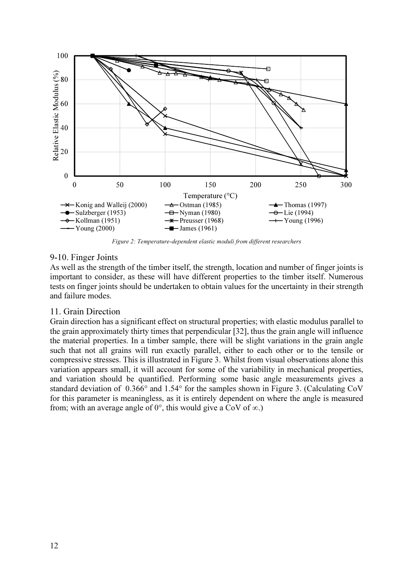

Figure 2: Temperature-dependent elastic moduli from different researchers

#### 9-10. Finger Joints

As well as the strength of the timber itself, the strength, location and number of finger joints is important to consider, as these will have different properties to the timber itself. Numerous tests on finger joints should be undertaken to obtain values for the uncertainty in their strength and failure modes.

#### 11. Grain Direction

Grain direction has a significant effect on structural properties; with elastic modulus parallel to the grain approximately thirty times that perpendicular [32], thus the grain angle will influence the material properties. In a timber sample, there will be slight variations in the grain angle such that not all grains will run exactly parallel, either to each other or to the tensile or compressive stresses. This is illustrated in Figure 3. Whilst from visual observations alone this variation appears small, it will account for some of the variability in mechanical properties, and variation should be quantified. Performing some basic angle measurements gives a standard deviation of 0.366° and 1.54° for the samples shown in Figure 3. (Calculating CoV for this parameter is meaningless, as it is entirely dependent on where the angle is measured from; with an average angle of  $0^{\circ}$ , this would give a CoV of  $\infty$ .)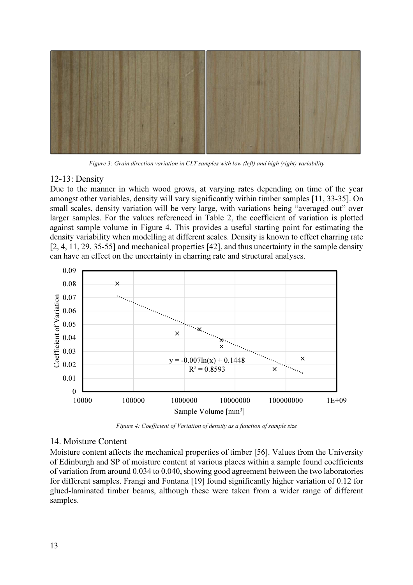

Figure 3: Grain direction variation in CLT samples with low (left) and high (right) variability

#### 12-13: Density

Due to the manner in which wood grows, at varying rates depending on time of the year amongst other variables, density will vary significantly within timber samples [11, 33-35]. On small scales, density variation will be very large, with variations being "averaged out" over larger samples. For the values referenced in Table 2, the coefficient of variation is plotted against sample volume in Figure 4. This provides a useful starting point for estimating the density variability when modelling at different scales. Density is known to effect charring rate [2, 4, 11, 29, 35-55] and mechanical properties [42], and thus uncertainty in the sample density can have an effect on the uncertainty in charring rate and structural analyses.



Figure 4: Coefficient of Variation of density as a function of sample size

#### 14. Moisture Content

Moisture content affects the mechanical properties of timber [56]. Values from the University of Edinburgh and SP of moisture content at various places within a sample found coefficients of variation from around 0.034 to 0.040, showing good agreement between the two laboratories for different samples. Frangi and Fontana [19] found significantly higher variation of 0.12 for glued-laminated timber beams, although these were taken from a wider range of different samples.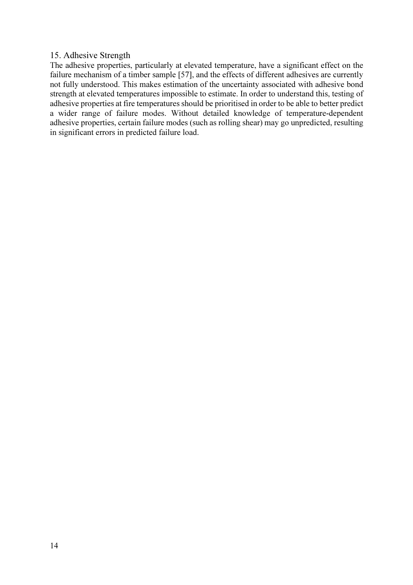#### 15. Adhesive Strength

The adhesive properties, particularly at elevated temperature, have a significant effect on the failure mechanism of a timber sample [57], and the effects of different adhesives are currently not fully understood. This makes estimation of the uncertainty associated with adhesive bond strength at elevated temperatures impossible to estimate. In order to understand this, testing of adhesive properties at fire temperatures should be prioritised in order to be able to better predict a wider range of failure modes. Without detailed knowledge of temperature-dependent adhesive properties, certain failure modes (such as rolling shear) may go unpredicted, resulting in significant errors in predicted failure load.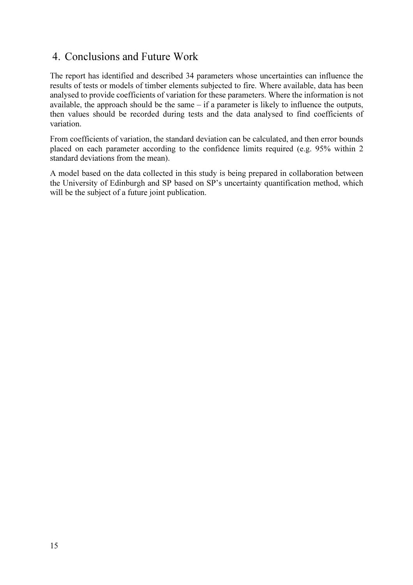## 4. Conclusions and Future Work

The report has identified and described 34 parameters whose uncertainties can influence the results of tests or models of timber elements subjected to fire. Where available, data has been analysed to provide coefficients of variation for these parameters. Where the information is not available, the approach should be the same – if a parameter is likely to influence the outputs, then values should be recorded during tests and the data analysed to find coefficients of variation.

From coefficients of variation, the standard deviation can be calculated, and then error bounds placed on each parameter according to the confidence limits required (e.g. 95% within 2 standard deviations from the mean).

A model based on the data collected in this study is being prepared in collaboration between the University of Edinburgh and SP based on SP's uncertainty quantification method, which will be the subject of a future joint publication.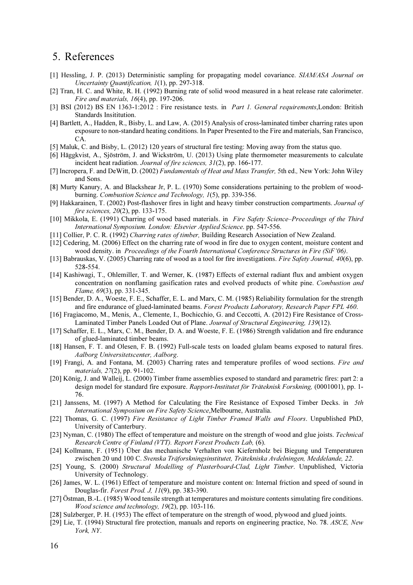### 5. References

- [1] Hessling, J. P. (2013) Deterministic sampling for propagating model covariance. SIAM/ASA Journal on Uncertainty Quantification, 1(1), pp. 297-318.
- [2] Tran, H. C. and White, R. H. (1992) Burning rate of solid wood measured in a heat release rate calorimeter. Fire and materials, 16(4), pp. 197-206.
- [3] BSI (2012) BS EN 1363-1:2012 : Fire resistance tests. in Part 1. General requirements, London: British Standards Insititution.
- [4] Bartlett, A., Hadden, R., Bisby, L. and Law, A. (2015) Analysis of cross-laminated timber charring rates upon exposure to non-standard heating conditions. In Paper Presented to the Fire and materials, San Francisco,  $CA$
- [5] Maluk, C. and Bisby, L. (2012) 120 years of structural fire testing: Moving away from the status quo.
- [6] Häggkvist, A., Sjöström, J. and Wickström, U. (2013) Using plate thermometer measurements to calculate incident heat radiation. Journal of fire sciences, 31(2), pp. 166-177.
- [7] Incropera, F. and DeWitt, D. (2002) Fundamentals of Heat and Mass Transfer, 5th ed., New York: John Wiley and Sons.
- [8] Murty Kanury, A. and Blackshear Jr, P. L. (1970) Some considerations pertaining to the problem of woodburning. Combustion Science and Technology, 1(5), pp. 339-356.
- [9] Hakkarainen, T. (2002) Post-flashover fires in light and heavy timber construction compartments. Journal of fire sciences, 20(2), pp. 133-175.
- [10] Mikkola, E. (1991) Charring of wood based materials. in Fire Safety Science-Proceedings of the Third International Symposium. London: Elsevier Applied Science. pp. 547-556.
- [11] Collier, P. C. R. (1992) Charring rates of timber, Building Research Association of New Zealand.
- [12] Cedering, M. (2006) Effect on the charring rate of wood in fire due to oxygen content, moisture content and wood density. in Proceedings of the Fourth International Conference Structures in Fire (SiF'06).
- [13] Babrauskas, V. (2005) Charring rate of wood as a tool for fire investigations. Fire Safety Journal, 40(6), pp. 528-554.
- [14] Kashiwagi, T., Ohlemiller, T. and Werner, K. (1987) Effects of external radiant flux and ambient oxygen concentration on nonflaming gasification rates and evolved products of white pine. Combustion and Flame, 69(3), pp. 331-345.
- [15] Bender, D. A., Woeste, F. E., Schaffer, E. L. and Marx, C. M. (1985) Reliability formulation for the strength and fire endurance of glued-laminated beams. Forest Products Laboratory, Research Paper FPL 460.
- [16] Fragiacomo, M., Menis, A., Clemente, I., Bochicchio, G. and Ceccotti, A. (2012) Fire Resistance of Cross-Laminated Timber Panels Loaded Out of Plane. Journal of Structural Engineering, 139(12).
- [17] Schaffer, E. L., Marx, C. M., Bender, D. A. and Woeste, F. E. (1986) Strength validation and fire endurance of glued-laminated timber beams.
- [18] Hansen, F. T. and Olesen, F. B. (1992) Full-scale tests on loaded glulam beams exposed to natural fires. Aalborg Universitetscenter, Aalborg.
- [19] Frangi, A. and Fontana, M. (2003) Charring rates and temperature profiles of wood sections. Fire and materials, 27(2), pp. 91-102.
- [20] König, J. and Walleij, L. (2000) Timber frame assemblies exposed to standard and parametric fires: part 2: a design model for standard fire exposure. Rapport-Institutet för Träteknisk Forskning, (0001001), pp. 1-76.
- [21] Janssens, M. (1997) A Method for Calculating the Fire Resistance of Exposed Timber Decks. in 5th International Symposium on Fire Safety Science,Melbourne, Australia.
- [22] Thomas, G. C. (1997) Fire Resistance of Light Timber Framed Walls and Floors. Unpublished PhD, University of Canterbury.
- [23] Nyman, C. (1980) The effect of temperature and moisture on the strength of wood and glue joists. Technical Research Centre of Finland (VTT). Report Forest Products Lab, (6).
- [24] Kollmann, F. (1951) Über das mechanische Verhalten von Kiefernholz bei Biegung und Temperaturen zwischen 20 und 100 C. Svenska Träforskningsinstitutet, Trätekniska Avdelningen, Meddelande, 22.
- [25] Young, S. (2000) Structural Modelling of Plasterboard-Clad, Light Timber. Unpublished, Victoria University of Technology.
- [26] James, W. L. (1961) Effect of temperature and moisture content on: Internal friction and speed of sound in Douglas-fir. Forest Prod. J, 11(9), pp. 383-390.
- [27] Östman, B.-L. (1985) Wood tensile strength at temperatures and moisture contents simulating fire conditions. Wood science and technology, 19(2), pp. 103-116.
- [28] Sulzberger, P. H. (1953) The effect of temperature on the strength of wood, plywood and glued joints.
- [29] Lie, T. (1994) Structural fire protection, manuals and reports on engineering practice, No. 78. ASCE, New York, NY.